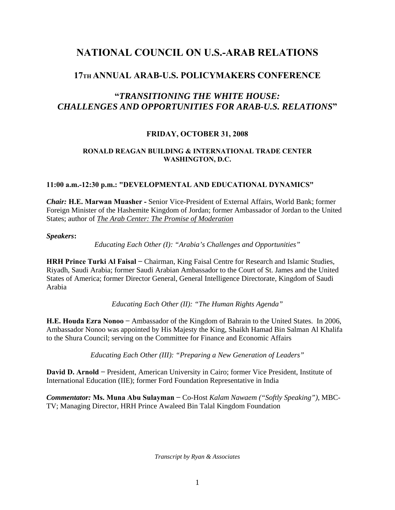# **NATIONAL COUNCIL ON U.S.-ARAB RELATIONS**

## **17TH ANNUAL ARAB-U.S. POLICYMAKERS CONFERENCE**

## **"***TRANSITIONING THE WHITE HOUSE: CHALLENGES AND OPPORTUNITIES FOR ARAB-U.S. RELATIONS***"**

## **FRIDAY, OCTOBER 31, 2008**

### **RONALD REAGAN BUILDING & INTERNATIONAL TRADE CENTER WASHINGTON, D.C.**

### **11:00 a.m.-12:30 p.m.: "DEVELOPMENTAL AND EDUCATIONAL DYNAMICS"**

*Chair:* **H.E. Marwan Muasher -** Senior Vice-President of External Affairs, World Bank; former Foreign Minister of the Hashemite Kingdom of Jordan; former Ambassador of Jordan to the United States; author of *The Arab Center: The Promise of Moderation*

### *Speakers***:**

*Educating Each Other (I): "Arabia's Challenges and Opportunities"* 

**HRH Prince Turki Al Faisal −** Chairman, King Faisal Centre for Research and Islamic Studies, Riyadh, Saudi Arabia; former Saudi Arabian Ambassador to the Court of St. James and the United States of America; former Director General, General Intelligence Directorate, Kingdom of Saudi Arabia

*Educating Each Other (II): "The Human Rights Agenda"* 

**H.E. Houda Ezra Nonoo −** Ambassador of the Kingdom of Bahrain to the United States. In 2006, Ambassador Nonoo was appointed by His Majesty the King, Shaikh Hamad Bin Salman Al Khalifa to the Shura Council; serving on the Committee for Finance and Economic Affairs

*Educating Each Other (III): "Preparing a New Generation of Leaders"* 

**David D. Arnold −** President, American University in Cairo; former Vice President, Institute of International Education (IIE); former Ford Foundation Representative in India

*Commentator:* **Ms. Muna Abu Sulayman −** Co-Host *Kalam Nawaem ("Softly Speaking")*, MBC-TV; Managing Director, HRH Prince Awaleed Bin Talal Kingdom Foundation

*Transcript by Ryan & Associates*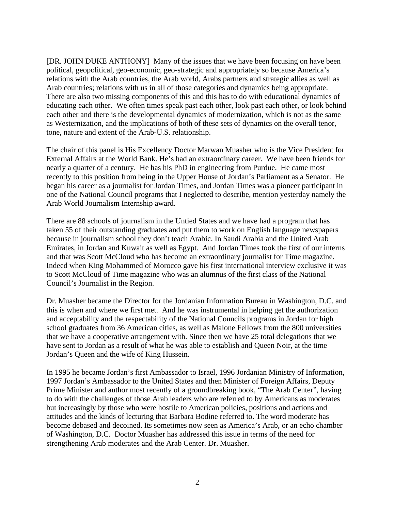[DR. JOHN DUKE ANTHONY] Many of the issues that we have been focusing on have been political, geopolitical, geo-economic, geo-strategic and appropriately so because America's relations with the Arab countries, the Arab world, Arabs partners and strategic allies as well as Arab countries; relations with us in all of those categories and dynamics being appropriate. There are also two missing components of this and this has to do with educational dynamics of educating each other. We often times speak past each other, look past each other, or look behind each other and there is the developmental dynamics of modernization, which is not as the same as Westernization, and the implications of both of these sets of dynamics on the overall tenor, tone, nature and extent of the Arab-U.S. relationship.

The chair of this panel is His Excellency Doctor Marwan Muasher who is the Vice President for External Affairs at the World Bank. He's had an extraordinary career. We have been friends for nearly a quarter of a century. He has his PhD in engineering from Purdue. He came most recently to this position from being in the Upper House of Jordan's Parliament as a Senator. He began his career as a journalist for Jordan Times, and Jordan Times was a pioneer participant in one of the National Council programs that I neglected to describe, mention yesterday namely the Arab World Journalism Internship award.

There are 88 schools of journalism in the Untied States and we have had a program that has taken 55 of their outstanding graduates and put them to work on English language newspapers because in journalism school they don't teach Arabic. In Saudi Arabia and the United Arab Emirates, in Jordan and Kuwait as well as Egypt. And Jordan Times took the first of our interns and that was Scott McCloud who has become an extraordinary journalist for Time magazine. Indeed when King Mohammed of Morocco gave his first international interview exclusive it was to Scott McCloud of Time magazine who was an alumnus of the first class of the National Council's Journalist in the Region.

Dr. Muasher became the Director for the Jordanian Information Bureau in Washington, D.C. and this is when and where we first met. And he was instrumental in helping get the authorization and acceptability and the respectability of the National Councils programs in Jordan for high school graduates from 36 American cities, as well as Malone Fellows from the 800 universities that we have a cooperative arrangement with. Since then we have 25 total delegations that we have sent to Jordan as a result of what he was able to establish and Queen Noir, at the time Jordan's Queen and the wife of King Hussein.

In 1995 he became Jordan's first Ambassador to Israel, 1996 Jordanian Ministry of Information, 1997 Jordan's Ambassador to the United States and then Minister of Foreign Affairs, Deputy Prime Minister and author most recently of a groundbreaking book, "The Arab Center", having to do with the challenges of those Arab leaders who are referred to by Americans as moderates but increasingly by those who were hostile to American policies, positions and actions and attitudes and the kinds of lecturing that Barbara Bodine referred to. The word moderate has become debased and decoined. Its sometimes now seen as America's Arab, or an echo chamber of Washington, D.C. Doctor Muasher has addressed this issue in terms of the need for strengthening Arab moderates and the Arab Center. Dr. Muasher.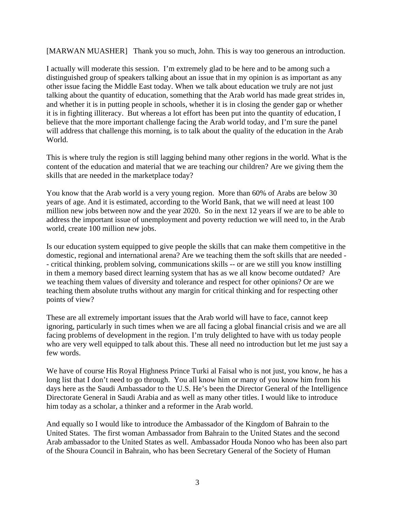[MARWAN MUASHER] Thank you so much, John. This is way too generous an introduction.

I actually will moderate this session. I'm extremely glad to be here and to be among such a distinguished group of speakers talking about an issue that in my opinion is as important as any other issue facing the Middle East today. When we talk about education we truly are not just talking about the quantity of education, something that the Arab world has made great strides in, and whether it is in putting people in schools, whether it is in closing the gender gap or whether it is in fighting illiteracy. But whereas a lot effort has been put into the quantity of education, I believe that the more important challenge facing the Arab world today, and I'm sure the panel will address that challenge this morning, is to talk about the quality of the education in the Arab World.

This is where truly the region is still lagging behind many other regions in the world. What is the content of the education and material that we are teaching our children? Are we giving them the skills that are needed in the marketplace today?

You know that the Arab world is a very young region. More than 60% of Arabs are below 30 years of age. And it is estimated, according to the World Bank, that we will need at least 100 million new jobs between now and the year 2020. So in the next 12 years if we are to be able to address the important issue of unemployment and poverty reduction we will need to, in the Arab world, create 100 million new jobs.

Is our education system equipped to give people the skills that can make them competitive in the domestic, regional and international arena? Are we teaching them the soft skills that are needed - - critical thinking, problem solving, communications skills -- or are we still you know instilling in them a memory based direct learning system that has as we all know become outdated? Are we teaching them values of diversity and tolerance and respect for other opinions? Or are we teaching them absolute truths without any margin for critical thinking and for respecting other points of view?

These are all extremely important issues that the Arab world will have to face, cannot keep ignoring, particularly in such times when we are all facing a global financial crisis and we are all facing problems of development in the region. I'm truly delighted to have with us today people who are very well equipped to talk about this. These all need no introduction but let me just say a few words.

We have of course His Royal Highness Prince Turki al Faisal who is not just, you know, he has a long list that I don't need to go through. You all know him or many of you know him from his days here as the Saudi Ambassador to the U.S. He's been the Director General of the Intelligence Directorate General in Saudi Arabia and as well as many other titles. I would like to introduce him today as a scholar, a thinker and a reformer in the Arab world.

And equally so I would like to introduce the Ambassador of the Kingdom of Bahrain to the United States. The first woman Ambassador from Bahrain to the United States and the second Arab ambassador to the United States as well. Ambassador Houda Nonoo who has been also part of the Shoura Council in Bahrain, who has been Secretary General of the Society of Human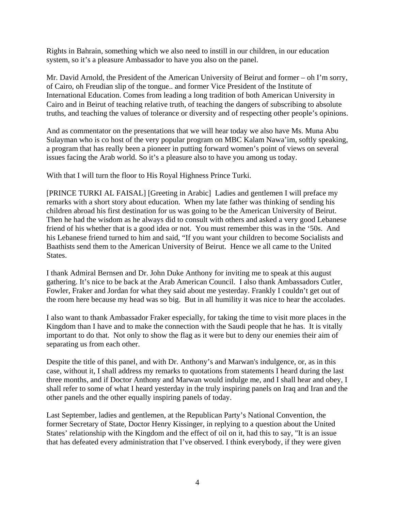Rights in Bahrain, something which we also need to instill in our children, in our education system, so it's a pleasure Ambassador to have you also on the panel.

Mr. David Arnold, the President of the American University of Beirut and former – oh I'm sorry, of Cairo, oh Freudian slip of the tongue.. and former Vice President of the Institute of International Education. Comes from leading a long tradition of both American University in Cairo and in Beirut of teaching relative truth, of teaching the dangers of subscribing to absolute truths, and teaching the values of tolerance or diversity and of respecting other people's opinions.

And as commentator on the presentations that we will hear today we also have Ms. Muna Abu Sulayman who is co host of the very popular program on MBC Kalam Nawa'im, softly speaking, a program that has really been a pioneer in putting forward women's point of views on several issues facing the Arab world. So it's a pleasure also to have you among us today.

With that I will turn the floor to His Royal Highness Prince Turki.

[PRINCE TURKI AL FAISAL] [Greeting in Arabic] Ladies and gentlemen I will preface my remarks with a short story about education. When my late father was thinking of sending his children abroad his first destination for us was going to be the American University of Beirut. Then he had the wisdom as he always did to consult with others and asked a very good Lebanese friend of his whether that is a good idea or not. You must remember this was in the '50s. And his Lebanese friend turned to him and said, "If you want your children to become Socialists and Baathists send them to the American University of Beirut. Hence we all came to the United States.

I thank Admiral Bernsen and Dr. John Duke Anthony for inviting me to speak at this august gathering. It's nice to be back at the Arab American Council. I also thank Ambassadors Cutler, Fowler, Fraker and Jordan for what they said about me yesterday. Frankly I couldn't get out of the room here because my head was so big. But in all humility it was nice to hear the accolades.

I also want to thank Ambassador Fraker especially, for taking the time to visit more places in the Kingdom than I have and to make the connection with the Saudi people that he has. It is vitally important to do that. Not only to show the flag as it were but to deny our enemies their aim of separating us from each other.

Despite the title of this panel, and with Dr. Anthony's and Marwan's indulgence, or, as in this case, without it, I shall address my remarks to quotations from statements I heard during the last three months, and if Doctor Anthony and Marwan would indulge me, and I shall hear and obey, I shall refer to some of what I heard yesterday in the truly inspiring panels on Iraq and Iran and the other panels and the other equally inspiring panels of today.

Last September, ladies and gentlemen, at the Republican Party's National Convention, the former Secretary of State, Doctor Henry Kissinger, in replying to a question about the United States' relationship with the Kingdom and the effect of oil on it, had this to say, "It is an issue that has defeated every administration that I've observed. I think everybody, if they were given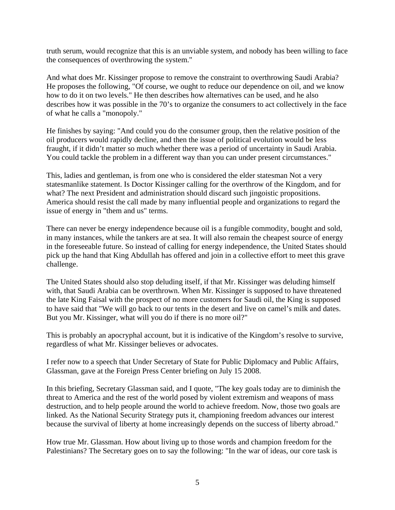truth serum, would recognize that this is an unviable system, and nobody has been willing to face the consequences of overthrowing the system."

And what does Mr. Kissinger propose to remove the constraint to overthrowing Saudi Arabia? He proposes the following, "Of course, we ought to reduce our dependence on oil, and we know how to do it on two levels." He then describes how alternatives can be used, and he also describes how it was possible in the 70's to organize the consumers to act collectively in the face of what he calls a "monopoly."

He finishes by saying: "And could you do the consumer group, then the relative position of the oil producers would rapidly decline, and then the issue of political evolution would be less fraught, if it didn't matter so much whether there was a period of uncertainty in Saudi Arabia. You could tackle the problem in a different way than you can under present circumstances."

This, ladies and gentleman, is from one who is considered the elder statesman Not a very statesmanlike statement. Is Doctor Kissinger calling for the overthrow of the Kingdom, and for what? The next President and administration should discard such jingoistic propositions. America should resist the call made by many influential people and organizations to regard the issue of energy in "them and us" terms.

There can never be energy independence because oil is a fungible commodity, bought and sold, in many instances, while the tankers are at sea. It will also remain the cheapest source of energy in the foreseeable future. So instead of calling for energy independence, the United States should pick up the hand that King Abdullah has offered and join in a collective effort to meet this grave challenge.

The United States should also stop deluding itself, if that Mr. Kissinger was deluding himself with, that Saudi Arabia can be overthrown. When Mr. Kissinger is supposed to have threatened the late King Faisal with the prospect of no more customers for Saudi oil, the King is supposed to have said that "We will go back to our tents in the desert and live on camel's milk and dates. But you Mr. Kissinger, what will you do if there is no more oil?"

This is probably an apocryphal account, but it is indicative of the Kingdom's resolve to survive, regardless of what Mr. Kissinger believes or advocates.

I refer now to a speech that Under Secretary of State for Public Diplomacy and Public Affairs, Glassman, gave at the Foreign Press Center briefing on July 15 2008.

In this briefing, Secretary Glassman said, and I quote, "The key goals today are to diminish the threat to America and the rest of the world posed by violent extremism and weapons of mass destruction, and to help people around the world to achieve freedom. Now, those two goals are linked. As the National Security Strategy puts it, championing freedom advances our interest because the survival of liberty at home increasingly depends on the success of liberty abroad."

How true Mr. Glassman. How about living up to those words and champion freedom for the Palestinians? The Secretary goes on to say the following: "In the war of ideas, our core task is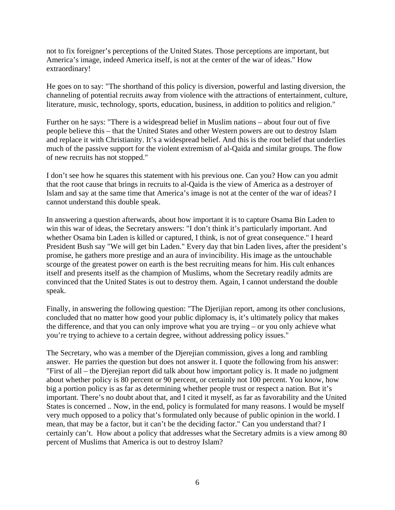not to fix foreigner's perceptions of the United States. Those perceptions are important, but America's image, indeed America itself, is not at the center of the war of ideas." How extraordinary!

He goes on to say: "The shorthand of this policy is diversion, powerful and lasting diversion, the channeling of potential recruits away from violence with the attractions of entertainment, culture, literature, music, technology, sports, education, business, in addition to politics and religion."

Further on he says: "There is a widespread belief in Muslim nations – about four out of five people believe this – that the United States and other Western powers are out to destroy Islam and replace it with Christianity. It's a widespread belief. And this is the root belief that underlies much of the passive support for the violent extremism of al-Qaida and similar groups. The flow of new recruits has not stopped."

I don't see how he squares this statement with his previous one. Can you? How can you admit that the root cause that brings in recruits to al-Qaida is the view of America as a destroyer of Islam and say at the same time that America's image is not at the center of the war of ideas? I cannot understand this double speak.

In answering a question afterwards, about how important it is to capture Osama Bin Laden to win this war of ideas, the Secretary answers: "I don't think it's particularly important. And whether Osama bin Laden is killed or captured, I think, is not of great consequence." I heard President Bush say "We will get bin Laden." Every day that bin Laden lives, after the president's promise, he gathers more prestige and an aura of invincibility. His image as the untouchable scourge of the greatest power on earth is the best recruiting means for him. His cult enhances itself and presents itself as the champion of Muslims, whom the Secretary readily admits are convinced that the United States is out to destroy them. Again, I cannot understand the double speak.

Finally, in answering the following question: "The Djerijian report, among its other conclusions, concluded that no matter how good your public diplomacy is, it's ultimately policy that makes the difference, and that you can only improve what you are trying – or you only achieve what you're trying to achieve to a certain degree, without addressing policy issues."

The Secretary, who was a member of the Djerejian commission, gives a long and rambling answer. He parries the question but does not answer it. I quote the following from his answer: "First of all – the Djerejian report did talk about how important policy is. It made no judgment about whether policy is 80 percent or 90 percent, or certainly not 100 percent. You know, how big a portion policy is as far as determining whether people trust or respect a nation. But it's important. There's no doubt about that, and I cited it myself, as far as favorability and the United States is concerned .. Now, in the end, policy is formulated for many reasons. I would be myself very much opposed to a policy that's formulated only because of public opinion in the world. I mean, that may be a factor, but it can't be the deciding factor." Can you understand that? I certainly can't. How about a policy that addresses what the Secretary admits is a view among 80 percent of Muslims that America is out to destroy Islam?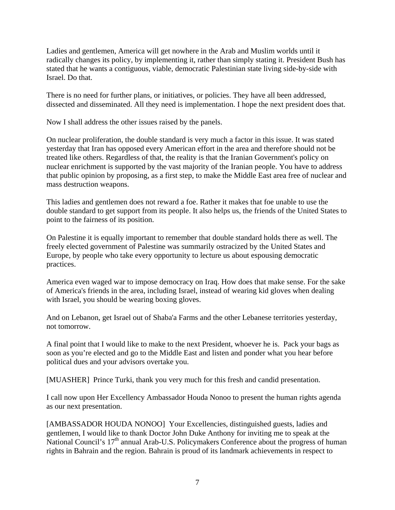Ladies and gentlemen, America will get nowhere in the Arab and Muslim worlds until it radically changes its policy, by implementing it, rather than simply stating it. President Bush has stated that he wants a contiguous, viable, democratic Palestinian state living side-by-side with Israel. Do that.

There is no need for further plans, or initiatives, or policies. They have all been addressed, dissected and disseminated. All they need is implementation. I hope the next president does that.

Now I shall address the other issues raised by the panels.

On nuclear proliferation, the double standard is very much a factor in this issue. It was stated yesterday that Iran has opposed every American effort in the area and therefore should not be treated like others. Regardless of that, the reality is that the Iranian Government's policy on nuclear enrichment is supported by the vast majority of the Iranian people. You have to address that public opinion by proposing, as a first step, to make the Middle East area free of nuclear and mass destruction weapons.

This ladies and gentlemen does not reward a foe. Rather it makes that foe unable to use the double standard to get support from its people. It also helps us, the friends of the United States to point to the fairness of its position.

On Palestine it is equally important to remember that double standard holds there as well. The freely elected government of Palestine was summarily ostracized by the United States and Europe, by people who take every opportunity to lecture us about espousing democratic practices.

America even waged war to impose democracy on Iraq. How does that make sense. For the sake of America's friends in the area, including Israel, instead of wearing kid gloves when dealing with Israel, you should be wearing boxing gloves.

And on Lebanon, get Israel out of Shaba'a Farms and the other Lebanese territories yesterday, not tomorrow.

A final point that I would like to make to the next President, whoever he is. Pack your bags as soon as you're elected and go to the Middle East and listen and ponder what you hear before political dues and your advisors overtake you.

[MUASHER] Prince Turki, thank you very much for this fresh and candid presentation.

I call now upon Her Excellency Ambassador Houda Nonoo to present the human rights agenda as our next presentation.

[AMBASSADOR HOUDA NONOO] Your Excellencies, distinguished guests, ladies and gentlemen, I would like to thank Doctor John Duke Anthony for inviting me to speak at the National Council's  $17<sup>th</sup>$  annual Arab-U.S. Policymakers Conference about the progress of human rights in Bahrain and the region. Bahrain is proud of its landmark achievements in respect to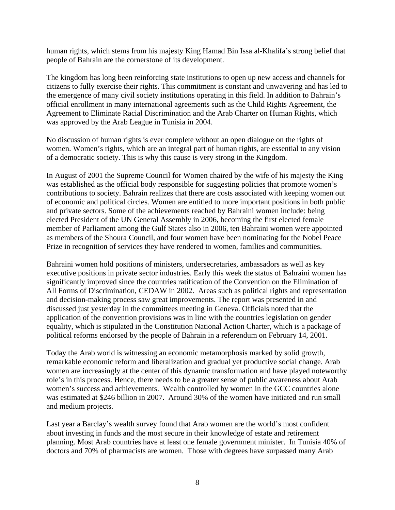human rights, which stems from his majesty King Hamad Bin Issa al-Khalifa's strong belief that people of Bahrain are the cornerstone of its development.

The kingdom has long been reinforcing state institutions to open up new access and channels for citizens to fully exercise their rights. This commitment is constant and unwavering and has led to the emergence of many civil society institutions operating in this field. In addition to Bahrain's official enrollment in many international agreements such as the Child Rights Agreement, the Agreement to Eliminate Racial Discrimination and the Arab Charter on Human Rights, which was approved by the Arab League in Tunisia in 2004.

No discussion of human rights is ever complete without an open dialogue on the rights of women. Women's rights, which are an integral part of human rights, are essential to any vision of a democratic society. This is why this cause is very strong in the Kingdom.

In August of 2001 the Supreme Council for Women chaired by the wife of his majesty the King was established as the official body responsible for suggesting policies that promote women's contributions to society. Bahrain realizes that there are costs associated with keeping women out of economic and political circles. Women are entitled to more important positions in both public and private sectors. Some of the achievements reached by Bahraini women include: being elected President of the UN General Assembly in 2006, becoming the first elected female member of Parliament among the Gulf States also in 2006, ten Bahraini women were appointed as members of the Shoura Council, and four women have been nominating for the Nobel Peace Prize in recognition of services they have rendered to women, families and communities.

Bahraini women hold positions of ministers, undersecretaries, ambassadors as well as key executive positions in private sector industries. Early this week the status of Bahraini women has significantly improved since the countries ratification of the Convention on the Elimination of All Forms of Discrimination, CEDAW in 2002. Areas such as political rights and representation and decision-making process saw great improvements. The report was presented in and discussed just yesterday in the committees meeting in Geneva. Officials noted that the application of the convention provisions was in line with the countries legislation on gender equality, which is stipulated in the Constitution National Action Charter, which is a package of political reforms endorsed by the people of Bahrain in a referendum on February 14, 2001.

Today the Arab world is witnessing an economic metamorphosis marked by solid growth, remarkable economic reform and liberalization and gradual yet productive social change. Arab women are increasingly at the center of this dynamic transformation and have played noteworthy role's in this process. Hence, there needs to be a greater sense of public awareness about Arab women's success and achievements. Wealth controlled by women in the GCC countries alone was estimated at \$246 billion in 2007. Around 30% of the women have initiated and run small and medium projects.

Last year a Barclay's wealth survey found that Arab women are the world's most confident about investing in funds and the most secure in their knowledge of estate and retirement planning. Most Arab countries have at least one female government minister. In Tunisia 40% of doctors and 70% of pharmacists are women. Those with degrees have surpassed many Arab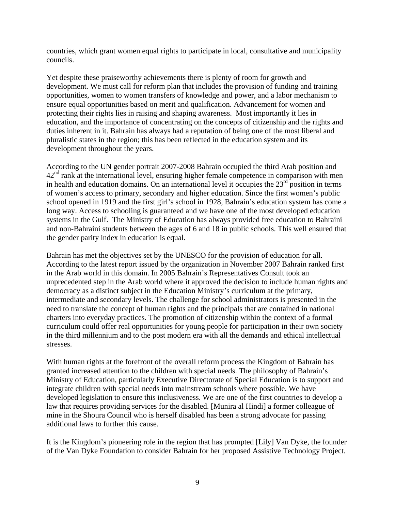countries, which grant women equal rights to participate in local, consultative and municipality councils.

Yet despite these praiseworthy achievements there is plenty of room for growth and development. We must call for reform plan that includes the provision of funding and training opportunities, women to women transfers of knowledge and power, and a labor mechanism to ensure equal opportunities based on merit and qualification. Advancement for women and protecting their rights lies in raising and shaping awareness. Most importantly it lies in education, and the importance of concentrating on the concepts of citizenship and the rights and duties inherent in it. Bahrain has always had a reputation of being one of the most liberal and pluralistic states in the region; this has been reflected in the education system and its development throughout the years.

According to the UN gender portrait 2007-2008 Bahrain occupied the third Arab position and 42<sup>nd</sup> rank at the international level, ensuring higher female competence in comparison with men in health and education domains. On an international level it occupies the  $23<sup>rd</sup>$  position in terms of women's access to primary, secondary and higher education. Since the first women's public school opened in 1919 and the first girl's school in 1928, Bahrain's education system has come a long way. Access to schooling is guaranteed and we have one of the most developed education systems in the Gulf. The Ministry of Education has always provided free education to Bahraini and non-Bahraini students between the ages of 6 and 18 in public schools. This well ensured that the gender parity index in education is equal.

Bahrain has met the objectives set by the UNESCO for the provision of education for all. According to the latest report issued by the organization in November 2007 Bahrain ranked first in the Arab world in this domain. In 2005 Bahrain's Representatives Consult took an unprecedented step in the Arab world where it approved the decision to include human rights and democracy as a distinct subject in the Education Ministry's curriculum at the primary, intermediate and secondary levels. The challenge for school administrators is presented in the need to translate the concept of human rights and the principals that are contained in national charters into everyday practices. The promotion of citizenship within the context of a formal curriculum could offer real opportunities for young people for participation in their own society in the third millennium and to the post modern era with all the demands and ethical intellectual stresses.

With human rights at the forefront of the overall reform process the Kingdom of Bahrain has granted increased attention to the children with special needs. The philosophy of Bahrain's Ministry of Education, particularly Executive Directorate of Special Education is to support and integrate children with special needs into mainstream schools where possible. We have developed legislation to ensure this inclusiveness. We are one of the first countries to develop a law that requires providing services for the disabled. [Munira al Hindi] a former colleague of mine in the Shoura Council who is herself disabled has been a strong advocate for passing additional laws to further this cause.

It is the Kingdom's pioneering role in the region that has prompted [Lily] Van Dyke, the founder of the Van Dyke Foundation to consider Bahrain for her proposed Assistive Technology Project.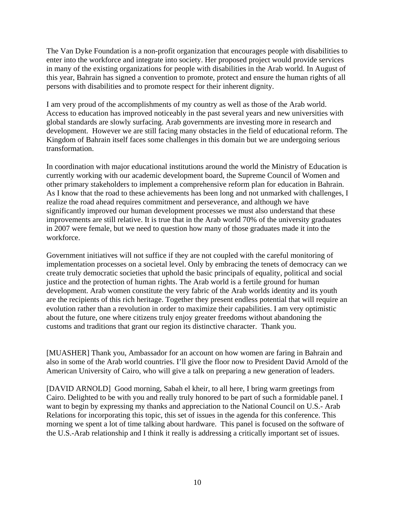The Van Dyke Foundation is a non-profit organization that encourages people with disabilities to enter into the workforce and integrate into society. Her proposed project would provide services in many of the existing organizations for people with disabilities in the Arab world. In August of this year, Bahrain has signed a convention to promote, protect and ensure the human rights of all persons with disabilities and to promote respect for their inherent dignity.

I am very proud of the accomplishments of my country as well as those of the Arab world. Access to education has improved noticeably in the past several years and new universities with global standards are slowly surfacing. Arab governments are investing more in research and development. However we are still facing many obstacles in the field of educational reform. The Kingdom of Bahrain itself faces some challenges in this domain but we are undergoing serious transformation.

In coordination with major educational institutions around the world the Ministry of Education is currently working with our academic development board, the Supreme Council of Women and other primary stakeholders to implement a comprehensive reform plan for education in Bahrain. As I know that the road to these achievements has been long and not unmarked with challenges, I realize the road ahead requires commitment and perseverance, and although we have significantly improved our human development processes we must also understand that these improvements are still relative. It is true that in the Arab world 70% of the university graduates in 2007 were female, but we need to question how many of those graduates made it into the workforce.

Government initiatives will not suffice if they are not coupled with the careful monitoring of implementation processes on a societal level. Only by embracing the tenets of democracy can we create truly democratic societies that uphold the basic principals of equality, political and social justice and the protection of human rights. The Arab world is a fertile ground for human development. Arab women constitute the very fabric of the Arab worlds identity and its youth are the recipients of this rich heritage. Together they present endless potential that will require an evolution rather than a revolution in order to maximize their capabilities. I am very optimistic about the future, one where citizens truly enjoy greater freedoms without abandoning the customs and traditions that grant our region its distinctive character. Thank you.

[MUASHER] Thank you, Ambassador for an account on how women are faring in Bahrain and also in some of the Arab world countries. I'll give the floor now to President David Arnold of the American University of Cairo, who will give a talk on preparing a new generation of leaders.

[DAVID ARNOLD] Good morning, Sabah el kheir, to all here, I bring warm greetings from Cairo. Delighted to be with you and really truly honored to be part of such a formidable panel. I want to begin by expressing my thanks and appreciation to the National Council on U.S.- Arab Relations for incorporating this topic, this set of issues in the agenda for this conference. This morning we spent a lot of time talking about hardware. This panel is focused on the software of the U.S.-Arab relationship and I think it really is addressing a critically important set of issues.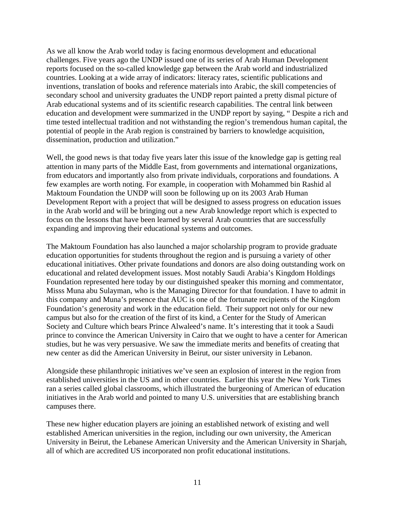As we all know the Arab world today is facing enormous development and educational challenges. Five years ago the UNDP issued one of its series of Arab Human Development reports focused on the so-called knowledge gap between the Arab world and industrialized countries. Looking at a wide array of indicators: literacy rates, scientific publications and inventions, translation of books and reference materials into Arabic, the skill competencies of secondary school and university graduates the UNDP report painted a pretty dismal picture of Arab educational systems and of its scientific research capabilities. The central link between education and development were summarized in the UNDP report by saying, " Despite a rich and time tested intellectual tradition and not withstanding the region's tremendous human capital, the potential of people in the Arab region is constrained by barriers to knowledge acquisition, dissemination, production and utilization."

Well, the good news is that today five years later this issue of the knowledge gap is getting real attention in many parts of the Middle East, from governments and international organizations, from educators and importantly also from private individuals, corporations and foundations. A few examples are worth noting. For example, in cooperation with Mohammed bin Rashid al Maktoum Foundation the UNDP will soon be following up on its 2003 Arab Human Development Report with a project that will be designed to assess progress on education issues in the Arab world and will be bringing out a new Arab knowledge report which is expected to focus on the lessons that have been learned by several Arab countries that are successfully expanding and improving their educational systems and outcomes.

The Maktoum Foundation has also launched a major scholarship program to provide graduate education opportunities for students throughout the region and is pursuing a variety of other educational initiatives. Other private foundations and donors are also doing outstanding work on educational and related development issues. Most notably Saudi Arabia's Kingdom Holdings Foundation represented here today by our distinguished speaker this morning and commentator, Misss Muna abu Sulayman, who is the Managing Director for that foundation. I have to admit in this company and Muna's presence that AUC is one of the fortunate recipients of the Kingdom Foundation's generosity and work in the education field. Their support not only for our new campus but also for the creation of the first of its kind, a Center for the Study of American Society and Culture which bears Prince Alwaleed's name. It's interesting that it took a Saudi prince to convince the American University in Cairo that we ought to have a center for American studies, but he was very persuasive. We saw the immediate merits and benefits of creating that new center as did the American University in Beirut, our sister university in Lebanon.

Alongside these philanthropic initiatives we've seen an explosion of interest in the region from established universities in the US and in other countries. Earlier this year the New York Times ran a series called global classrooms, which illustrated the burgeoning of American of education initiatives in the Arab world and pointed to many U.S. universities that are establishing branch campuses there.

These new higher education players are joining an established network of existing and well established American universities in the region, including our own university, the American University in Beirut, the Lebanese American University and the American University in Sharjah, all of which are accredited US incorporated non profit educational institutions.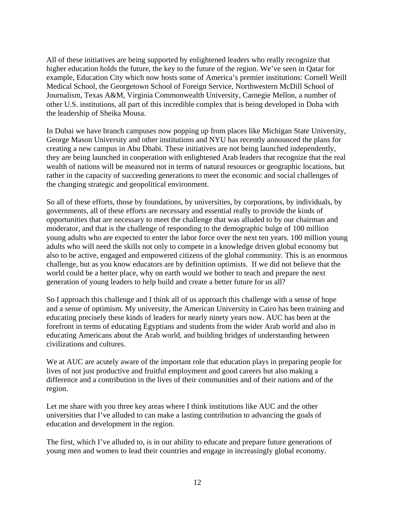All of these initiatives are being supported by enlightened leaders who really recognize that higher education holds the future, the key to the future of the region. We've seen in Qatar for example, Education City which now hosts some of America's premier institutions: Cornell Weill Medical School, the Georgetown School of Foreign Service, Northwestern McDill School of Journalism, Texas A&M, Virginia Commonwealth University, Carnegie Mellon, a number of other U.S. institutions, all part of this incredible complex that is being developed in Doha with the leadership of Sheika Mousa.

In Dubai we have branch campuses now popping up from places like Michigan State University, George Mason University and other institutions and NYU has recently announced the plans for creating a new campus in Abu Dhabi. These initiatives are not being launched independently, they are being launched in cooperation with enlightened Arab leaders that recognize that the real wealth of nations will be measured not in terms of natural resources or geographic locations, but rather in the capacity of succeeding generations to meet the economic and social challenges of the changing strategic and geopolitical environment.

So all of these efforts, those by foundations, by universities, by corporations, by individuals, by governments, all of these efforts are necessary and essential really to provide the kinds of opportunities that are necessary to meet the challenge that was alluded to by our chairman and moderator, and that is the challenge of responding to the demographic bulge of 100 million young adults who are expected to enter the labor force over the next ten years. 100 million young adults who will need the skills not only to compete in a knowledge driven global economy but also to be active, engaged and empowered citizens of the global community. This is an enormous challenge, but as you know educators are by definition optimists. If we did not believe that the world could be a better place, why on earth would we bother to teach and prepare the next generation of young leaders to help build and create a better future for us all?

So I approach this challenge and I think all of us approach this challenge with a sense of hope and a sense of optimism. My university, the American University in Cairo has been training and educating precisely these kinds of leaders for nearly ninety years now. AUC has been at the forefront in terms of educating Egyptians and students from the wider Arab world and also in educating Americans about the Arab world, and building bridges of understanding between civilizations and cultures.

We at AUC are acutely aware of the important role that education plays in preparing people for lives of not just productive and fruitful employment and good careers but also making a difference and a contribution in the lives of their communities and of their nations and of the region.

Let me share with you three key areas where I think institutions like AUC and the other universities that I've alluded to can make a lasting contribution to advancing the goals of education and development in the region.

The first, which I've alluded to, is in our ability to educate and prepare future generations of young men and women to lead their countries and engage in increasingly global economy.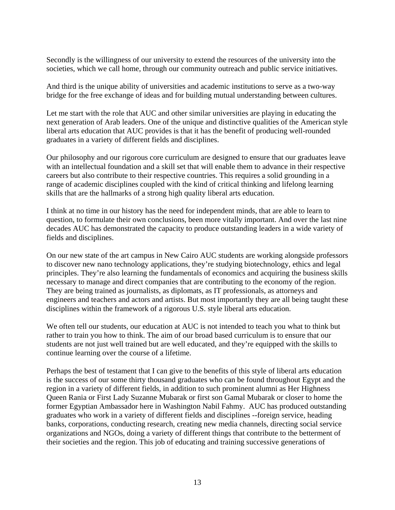Secondly is the willingness of our university to extend the resources of the university into the societies, which we call home, through our community outreach and public service initiatives.

And third is the unique ability of universities and academic institutions to serve as a two-way bridge for the free exchange of ideas and for building mutual understanding between cultures.

Let me start with the role that AUC and other similar universities are playing in educating the next generation of Arab leaders. One of the unique and distinctive qualities of the American style liberal arts education that AUC provides is that it has the benefit of producing well-rounded graduates in a variety of different fields and disciplines.

Our philosophy and our rigorous core curriculum are designed to ensure that our graduates leave with an intellectual foundation and a skill set that will enable them to advance in their respective careers but also contribute to their respective countries. This requires a solid grounding in a range of academic disciplines coupled with the kind of critical thinking and lifelong learning skills that are the hallmarks of a strong high quality liberal arts education.

I think at no time in our history has the need for independent minds, that are able to learn to question, to formulate their own conclusions, been more vitally important. And over the last nine decades AUC has demonstrated the capacity to produce outstanding leaders in a wide variety of fields and disciplines.

On our new state of the art campus in New Cairo AUC students are working alongside professors to discover new nano technology applications, they're studying biotechnology, ethics and legal principles. They're also learning the fundamentals of economics and acquiring the business skills necessary to manage and direct companies that are contributing to the economy of the region. They are being trained as journalists, as diplomats, as IT professionals, as attorneys and engineers and teachers and actors and artists. But most importantly they are all being taught these disciplines within the framework of a rigorous U.S. style liberal arts education.

We often tell our students, our education at AUC is not intended to teach you what to think but rather to train you how to think. The aim of our broad based curriculum is to ensure that our students are not just well trained but are well educated, and they're equipped with the skills to continue learning over the course of a lifetime.

Perhaps the best of testament that I can give to the benefits of this style of liberal arts education is the success of our some thirty thousand graduates who can be found throughout Egypt and the region in a variety of different fields, in addition to such prominent alumni as Her Highness Queen Rania or First Lady Suzanne Mubarak or first son Gamal Mubarak or closer to home the former Egyptian Ambassador here in Washington Nabil Fahmy. AUC has produced outstanding graduates who work in a variety of different fields and disciplines --foreign service, heading banks, corporations, conducting research, creating new media channels, directing social service organizations and NGOs, doing a variety of different things that contribute to the betterment of their societies and the region. This job of educating and training successive generations of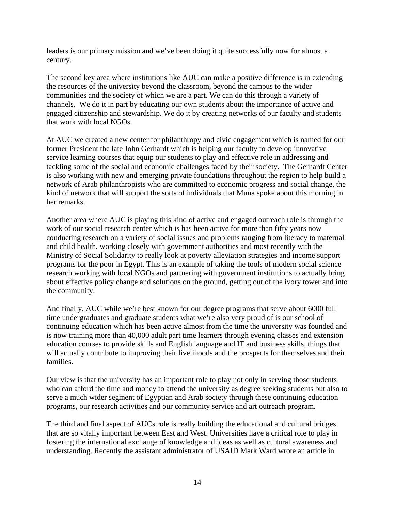leaders is our primary mission and we've been doing it quite successfully now for almost a century.

The second key area where institutions like AUC can make a positive difference is in extending the resources of the university beyond the classroom, beyond the campus to the wider communities and the society of which we are a part. We can do this through a variety of channels. We do it in part by educating our own students about the importance of active and engaged citizenship and stewardship. We do it by creating networks of our faculty and students that work with local NGOs.

At AUC we created a new center for philanthropy and civic engagement which is named for our former President the late John Gerhardt which is helping our faculty to develop innovative service learning courses that equip our students to play and effective role in addressing and tackling some of the social and economic challenges faced by their society. The Gerhardt Center is also working with new and emerging private foundations throughout the region to help build a network of Arab philanthropists who are committed to economic progress and social change, the kind of network that will support the sorts of individuals that Muna spoke about this morning in her remarks.

Another area where AUC is playing this kind of active and engaged outreach role is through the work of our social research center which is has been active for more than fifty years now conducting research on a variety of social issues and problems ranging from literacy to maternal and child health, working closely with government authorities and most recently with the Ministry of Social Solidarity to really look at poverty alleviation strategies and income support programs for the poor in Egypt. This is an example of taking the tools of modern social science research working with local NGOs and partnering with government institutions to actually bring about effective policy change and solutions on the ground, getting out of the ivory tower and into the community.

And finally, AUC while we're best known for our degree programs that serve about 6000 full time undergraduates and graduate students what we're also very proud of is our school of continuing education which has been active almost from the time the university was founded and is now training more than 40,000 adult part time learners through evening classes and extension education courses to provide skills and English language and IT and business skills, things that will actually contribute to improving their livelihoods and the prospects for themselves and their families.

Our view is that the university has an important role to play not only in serving those students who can afford the time and money to attend the university as degree seeking students but also to serve a much wider segment of Egyptian and Arab society through these continuing education programs, our research activities and our community service and art outreach program.

The third and final aspect of AUCs role is really building the educational and cultural bridges that are so vitally important between East and West. Universities have a critical role to play in fostering the international exchange of knowledge and ideas as well as cultural awareness and understanding. Recently the assistant administrator of USAID Mark Ward wrote an article in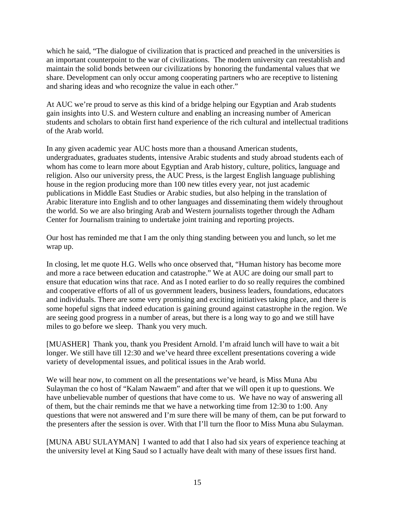which he said, "The dialogue of civilization that is practiced and preached in the universities is an important counterpoint to the war of civilizations. The modern university can reestablish and maintain the solid bonds between our civilizations by honoring the fundamental values that we share. Development can only occur among cooperating partners who are receptive to listening and sharing ideas and who recognize the value in each other."

At AUC we're proud to serve as this kind of a bridge helping our Egyptian and Arab students gain insights into U.S. and Western culture and enabling an increasing number of American students and scholars to obtain first hand experience of the rich cultural and intellectual traditions of the Arab world.

In any given academic year AUC hosts more than a thousand American students, undergraduates, graduates students, intensive Arabic students and study abroad students each of whom has come to learn more about Egyptian and Arab history, culture, politics, language and religion. Also our university press, the AUC Press, is the largest English language publishing house in the region producing more than 100 new titles every year, not just academic publications in Middle East Studies or Arabic studies, but also helping in the translation of Arabic literature into English and to other languages and disseminating them widely throughout the world. So we are also bringing Arab and Western journalists together through the Adham Center for Journalism training to undertake joint training and reporting projects.

Our host has reminded me that I am the only thing standing between you and lunch, so let me wrap up.

In closing, let me quote H.G. Wells who once observed that, "Human history has become more and more a race between education and catastrophe." We at AUC are doing our small part to ensure that education wins that race. And as I noted earlier to do so really requires the combined and cooperative efforts of all of us government leaders, business leaders, foundations, educators and individuals. There are some very promising and exciting initiatives taking place, and there is some hopeful signs that indeed education is gaining ground against catastrophe in the region. We are seeing good progress in a number of areas, but there is a long way to go and we still have miles to go before we sleep. Thank you very much.

[MUASHER] Thank you, thank you President Arnold. I'm afraid lunch will have to wait a bit longer. We still have till 12:30 and we've heard three excellent presentations covering a wide variety of developmental issues, and political issues in the Arab world.

We will hear now, to comment on all the presentations we've heard, is Miss Muna Abu Sulayman the co host of "Kalam Nawaem" and after that we will open it up to questions. We have unbelievable number of questions that have come to us. We have no way of answering all of them, but the chair reminds me that we have a networking time from 12:30 to 1:00. Any questions that were not answered and I'm sure there will be many of them, can be put forward to the presenters after the session is over. With that I'll turn the floor to Miss Muna abu Sulayman.

[MUNA ABU SULAYMAN] I wanted to add that I also had six years of experience teaching at the university level at King Saud so I actually have dealt with many of these issues first hand.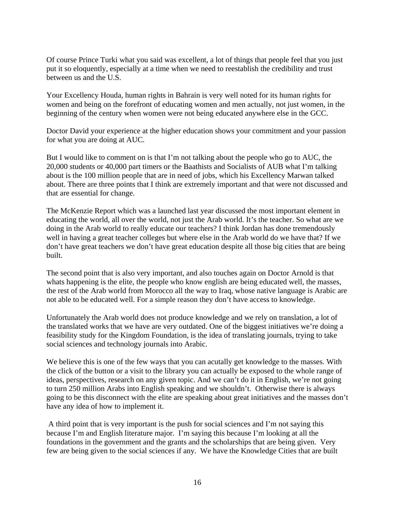Of course Prince Turki what you said was excellent, a lot of things that people feel that you just put it so eloquently, especially at a time when we need to reestablish the credibility and trust between us and the U.S.

Your Excellency Houda, human rights in Bahrain is very well noted for its human rights for women and being on the forefront of educating women and men actually, not just women, in the beginning of the century when women were not being educated anywhere else in the GCC.

Doctor David your experience at the higher education shows your commitment and your passion for what you are doing at AUC.

But I would like to comment on is that I'm not talking about the people who go to AUC, the 20,000 students or 40,000 part timers or the Baathists and Socialists of AUB what I'm talking about is the 100 million people that are in need of jobs, which his Excellency Marwan talked about. There are three points that I think are extremely important and that were not discussed and that are essential for change.

The McKenzie Report which was a launched last year discussed the most important element in educating the world, all over the world, not just the Arab world. It's the teacher. So what are we doing in the Arab world to really educate our teachers? I think Jordan has done tremendously well in having a great teacher colleges but where else in the Arab world do we have that? If we don't have great teachers we don't have great education despite all those big cities that are being built.

The second point that is also very important, and also touches again on Doctor Arnold is that whats happening is the elite, the people who know english are being educated well, the masses, the rest of the Arab world from Morocco all the way to Iraq, whose native language is Arabic are not able to be educated well. For a simple reason they don't have access to knowledge.

Unfortunately the Arab world does not produce knowledge and we rely on translation, a lot of the translated works that we have are very outdated. One of the biggest initiatives we're doing a feasibility study for the Kingdom Foundation, is the idea of translating journals, trying to take social sciences and technology journals into Arabic.

We believe this is one of the few ways that you can acutally get knowledge to the masses. With the click of the button or a visit to the library you can actually be exposed to the whole range of ideas, perspectives, research on any given topic. And we can't do it in English, we're not going to turn 250 million Arabs into English speaking and we shouldn't. Otherwise there is always going to be this disconnect with the elite are speaking about great initiatives and the masses don't have any idea of how to implement it.

 A third point that is very important is the push for social sciences and I'm not saying this because I'm and English literature major. I'm saying this because I'm looking at all the foundations in the government and the grants and the scholarships that are being given. Very few are being given to the social sciences if any. We have the Knowledge Cities that are built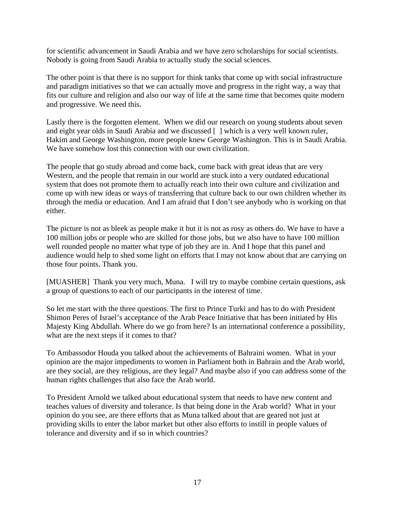for scientific advancement in Saudi Arabia and we have zero scholarships for social scientists. Nobody is going from Saudi Arabia to actually study the social sciences.

The other point is that there is no support for think tanks that come up with social infrastructure and paradigm initiatives so that we can actually move and progress in the right way, a way that fits our culture and religion and also our way of life at the same time that becomes quite modern and progressive. We need this.

Lastly there is the forgotten element. When we did our research on young students about seven and eight year olds in Saudi Arabia and we discussed [ ] which is a very well known ruler, Hakim and George Washington, more people knew George Washington. This is in Saudi Arabia. We have somehow lost this connection with our own civilization.

The people that go study abroad and come back, come back with great ideas that are very Western, and the people that remain in our world are stuck into a very outdated educational system that does not promote them to actually reach into their own culture and civilization and come up with new ideas or ways of transferring that culture back to our own children whether its through the media or education. And I am afraid that I don't see anybody who is working on that either.

The picture is not as bleek as people make it but it is not as rosy as others do. We have to have a 100 million jobs or people who are skilled for those jobs, but we also have to have 100 million well rounded people no matter what type of job they are in. And I hope that this panel and audience would help to shed some light on efforts that I may not know about that are carrying on those four points. Thank you.

[MUASHER] Thank you very much, Muna. I will try to maybe combine certain questions, ask a group of questions to each of our participants in the interest of time.

So let me start with the three questions. The first to Prince Turki and has to do with President Shimon Peres of Israel's acceptance of the Arab Peace Initiative that has been initiated by His Majesty King Abdullah. Where do we go from here? Is an international conference a possibility, what are the next steps if it comes to that?

To Ambassodor Houda you talked about the achievements of Bahraini women. What in your opinion are the major impediments to women in Parliament both in Bahrain and the Arab world, are they social, are they religious, are they legal? And maybe also if you can address some of the human rights challenges that also face the Arab world.

To President Arnold we talked about educational system that needs to have new content and teaches values of diversity and tolerance. Is that being done in the Arab world? What in your opinion do you see, are there efforts that as Muna talked about that are geared not just at providing skills to enter the labor market but other also efforts to instill in people values of tolerance and diversity and if so in which countries?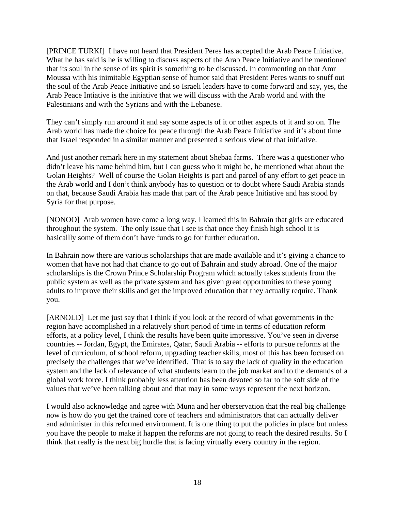[PRINCE TURKI] I have not heard that President Peres has accepted the Arab Peace Initiative. What he has said is he is willing to discuss aspects of the Arab Peace Initiative and he mentioned that its soul in the sense of its spirit is something to be discussed. In commenting on that Amr Moussa with his inimitable Egyptian sense of humor said that President Peres wants to snuff out the soul of the Arab Peace Initiative and so Israeli leaders have to come forward and say, yes, the Arab Peace Intiative is the initiative that we will discuss with the Arab world and with the Palestinians and with the Syrians and with the Lebanese.

They can't simply run around it and say some aspects of it or other aspects of it and so on. The Arab world has made the choice for peace through the Arab Peace Initiative and it's about time that Israel responded in a similar manner and presented a serious view of that initiative.

And just another remark here in my statement about Shebaa farms. There was a questioner who didn't leave his name behind him, but I can guess who it might be, he mentioned what about the Golan Heights? Well of course the Golan Heights is part and parcel of any effort to get peace in the Arab world and I don't think anybody has to question or to doubt where Saudi Arabia stands on that, because Saudi Arabia has made that part of the Arab peace Initiative and has stood by Syria for that purpose.

[NONOO] Arab women have come a long way. I learned this in Bahrain that girls are educated throughout the system. The only issue that I see is that once they finish high school it is basicallly some of them don't have funds to go for further education.

In Bahrain now there are various scholarships that are made available and it's giving a chance to women that have not had that chance to go out of Bahrain and study abroad. One of the major scholarships is the Crown Prince Scholarship Program which actually takes students from the public system as well as the private system and has given great opportunities to these young adults to improve their skills and get the improved education that they actually require. Thank you.

[ARNOLD] Let me just say that I think if you look at the record of what governments in the region have accomplished in a relatively short period of time in terms of education reform efforts, at a policy level, I think the results have been quite impressive. You've seen in diverse countries -- Jordan, Egypt, the Emirates, Qatar, Saudi Arabia -- efforts to pursue reforms at the level of curriculum, of school reform, upgrading teacher skills, most of this has been focused on precisely the challenges that we've identified. That is to say the lack of quality in the education system and the lack of relevance of what students learn to the job market and to the demands of a global work force. I think probably less attention has been devoted so far to the soft side of the values that we've been talking about and that may in some ways represent the next horizon.

I would also acknowledge and agree with Muna and her oberservation that the real big challenge now is how do you get the trained core of teachers and administrators that can actually deliver and administer in this reformed environment. It is one thing to put the policies in place but unless you have the people to make it happen the reforms are not going to reach the desired results. So I think that really is the next big hurdle that is facing virtually every country in the region.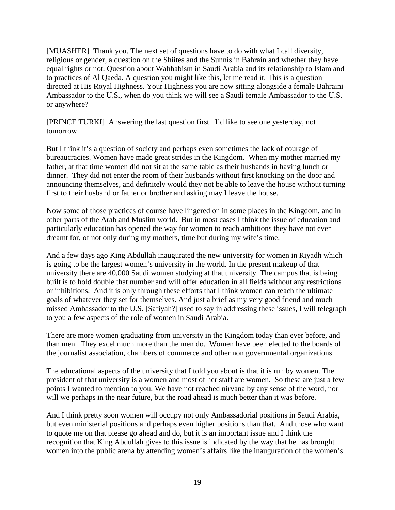[MUASHER] Thank you. The next set of questions have to do with what I call diversity, religious or gender, a question on the Shiites and the Sunnis in Bahrain and whether they have equal rights or not. Question about Wahhabism in Saudi Arabia and its relationship to Islam and to practices of Al Qaeda. A question you might like this, let me read it. This is a question directed at His Royal Highness. Your Highness you are now sitting alongside a female Bahraini Ambassador to the U.S., when do you think we will see a Saudi female Ambassador to the U.S. or anywhere?

[PRINCE TURKI] Answering the last question first. I'd like to see one yesterday, not tomorrow.

But I think it's a question of society and perhaps even sometimes the lack of courage of bureaucracies. Women have made great strides in the Kingdom. When my mother married my father, at that time women did not sit at the same table as their husbands in having lunch or dinner. They did not enter the room of their husbands without first knocking on the door and announcing themselves, and definitely would they not be able to leave the house without turning first to their husband or father or brother and asking may I leave the house.

Now some of those practices of course have lingered on in some places in the Kingdom, and in other parts of the Arab and Muslim world. But in most cases I think the issue of education and particularly education has opened the way for women to reach ambitions they have not even dreamt for, of not only during my mothers, time but during my wife's time.

And a few days ago King Abdullah inaugurated the new university for women in Riyadh which is going to be the largest women's university in the world. In the present makeup of that university there are 40,000 Saudi women studying at that university. The campus that is being built is to hold double that number and will offer education in all fields without any restrictions or inhibitions. And it is only through these efforts that I think women can reach the ultimate goals of whatever they set for themselves. And just a brief as my very good friend and much missed Ambassador to the U.S. [Safiyah?] used to say in addressing these issues, I will telegraph to you a few aspects of the role of women in Saudi Arabia.

There are more women graduating from university in the Kingdom today than ever before, and than men. They excel much more than the men do. Women have been elected to the boards of the journalist association, chambers of commerce and other non governmental organizations.

The educational aspects of the university that I told you about is that it is run by women. The president of that university is a women and most of her staff are women. So these are just a few points I wanted to mention to you. We have not reached nirvana by any sense of the word, nor will we perhaps in the near future, but the road ahead is much better than it was before.

And I think pretty soon women will occupy not only Ambassadorial positions in Saudi Arabia, but even ministerial positions and perhaps even higher positions than that. And those who want to quote me on that please go ahead and do, but it is an important issue and I think the recognition that King Abdullah gives to this issue is indicated by the way that he has brought women into the public arena by attending women's affairs like the inauguration of the women's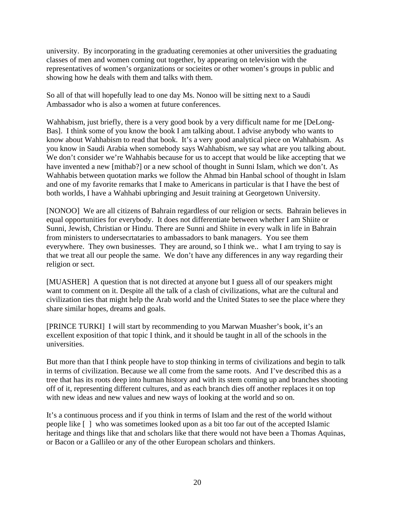university. By incorporating in the graduating ceremonies at other universities the graduating classes of men and women coming out together, by appearing on television with the representatives of women's organizations or socieites or other women's groups in public and showing how he deals with them and talks with them.

So all of that will hopefully lead to one day Ms. Nonoo will be sitting next to a Saudi Ambassador who is also a women at future conferences.

Wahhabism, just briefly, there is a very good book by a very difficult name for me [DeLong-Bas]. I think some of you know the book I am talking about. I advise anybody who wants to know about Wahhabism to read that book. It's a very good analytical piece on Wahhabism. As you know in Saudi Arabia when somebody says Wahhabism, we say what are you talking about. We don't consider we're Wahhabis because for us to accept that would be like accepting that we have invented a new [mithab?] or a new school of thought in Sunni Islam, which we don't. As Wahhabis between quotation marks we follow the Ahmad bin Hanbal school of thought in Islam and one of my favorite remarks that I make to Americans in particular is that I have the best of both worlds, I have a Wahhabi upbringing and Jesuit training at Georgetown University.

[NONOO] We are all citizens of Bahrain regardless of our religion or sects. Bahrain believes in equal opportunities for everybody. It does not differentiate between whether I am Shiite or Sunni, Jewish, Christian or Hindu. There are Sunni and Shiite in every walk in life in Bahrain from ministers to undersecrtataries to ambassadors to bank managers. You see them everywhere. They own businesses. They are around, so I think we.. what I am trying to say is that we treat all our people the same. We don't have any differences in any way regarding their religion or sect.

[MUASHER] A question that is not directed at anyone but I guess all of our speakers might want to comment on it. Despite all the talk of a clash of civilizations, what are the cultural and civilization ties that might help the Arab world and the United States to see the place where they share similar hopes, dreams and goals.

[PRINCE TURKI] I will start by recommending to you Marwan Muasher's book, it's an excellent exposition of that topic I think, and it should be taught in all of the schools in the universities.

But more than that I think people have to stop thinking in terms of civilizations and begin to talk in terms of civilization. Because we all come from the same roots. And I've described this as a tree that has its roots deep into human history and with its stem coming up and branches shooting off of it, representing different cultures, and as each branch dies off another replaces it on top with new ideas and new values and new ways of looking at the world and so on.

It's a continuous process and if you think in terms of Islam and the rest of the world without people like [ ] who was sometimes looked upon as a bit too far out of the accepted Islamic heritage and things like that and scholars like that there would not have been a Thomas Aquinas, or Bacon or a Gallileo or any of the other European scholars and thinkers.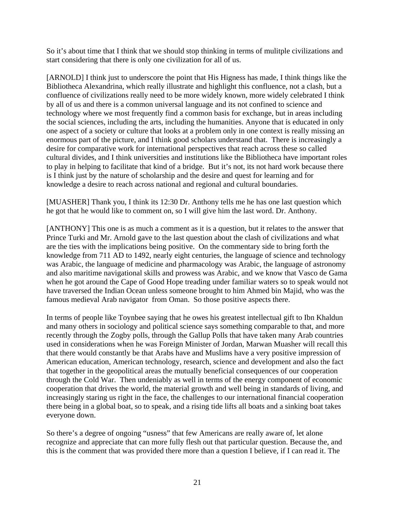So it's about time that I think that we should stop thinking in terms of mulitple civilizations and start considering that there is only one civilization for all of us.

[ARNOLD] I think just to underscore the point that His Higness has made, I think things like the Bibliotheca Alexandrina, which really illustrate and highlight this confluence, not a clash, but a confluence of civilizations really need to be more widely known, more widely celebrated I think by all of us and there is a common universal language and its not confined to science and technology where we most frequently find a common basis for exchange, but in areas including the social sciences, including the arts, including the humanities. Anyone that is educated in only one aspect of a society or culture that looks at a problem only in one context is really missing an enormous part of the picture, and I think good scholars understand that. There is increasingly a desire for comparative work for international perspectives that reach across these so called cultural divides, and I think universities and institutions like the Bibliotheca have important roles to play in helping to facilitate that kind of a bridge. But it's not, its not hard work because there is I think just by the nature of scholarship and the desire and quest for learning and for knowledge a desire to reach across national and regional and cultural boundaries.

[MUASHER] Thank you, I think its 12:30 Dr. Anthony tells me he has one last question which he got that he would like to comment on, so I will give him the last word. Dr. Anthony.

[ANTHONY] This one is as much a comment as it is a question, but it relates to the answer that Prince Turki and Mr. Arnold gave to the last question about the clash of civilizations and what are the ties with the implications being positive. On the commentary side to bring forth the knowledge from 711 AD to 1492, nearly eight centuries, the language of science and technology was Arabic, the language of medicine and pharmacology was Arabic, the language of astronomy and also maritime navigational skills and prowess was Arabic, and we know that Vasco de Gama when he got around the Cape of Good Hope treading under familiar waters so to speak would not have traversed the Indian Ocean unless someone brought to him Ahmed bin Majid, who was the famous medieval Arab navigator from Oman. So those positive aspects there.

In terms of people like Toynbee saying that he owes his greatest intellectual gift to Ibn Khaldun and many others in sociology and political science says something comparable to that, and more recently through the Zogby polls, through the Gallup Polls that have taken many Arab countries used in considerations when he was Foreign Minister of Jordan, Marwan Muasher will recall this that there would constantly be that Arabs have and Muslims have a very positive impression of American education, American technology, research, science and development and also the fact that together in the geopolitical areas the mutually beneficial consequences of our cooperation through the Cold War. Then undeniably as well in terms of the energy component of economic cooperation that drives the world, the material growth and well being in standards of living, and increasingly staring us right in the face, the challenges to our international financial cooperation there being in a global boat, so to speak, and a rising tide lifts all boats and a sinking boat takes everyone down.

So there's a degree of ongoing "usness" that few Americans are really aware of, let alone recognize and appreciate that can more fully flesh out that particular question. Because the, and this is the comment that was provided there more than a question I believe, if I can read it. The